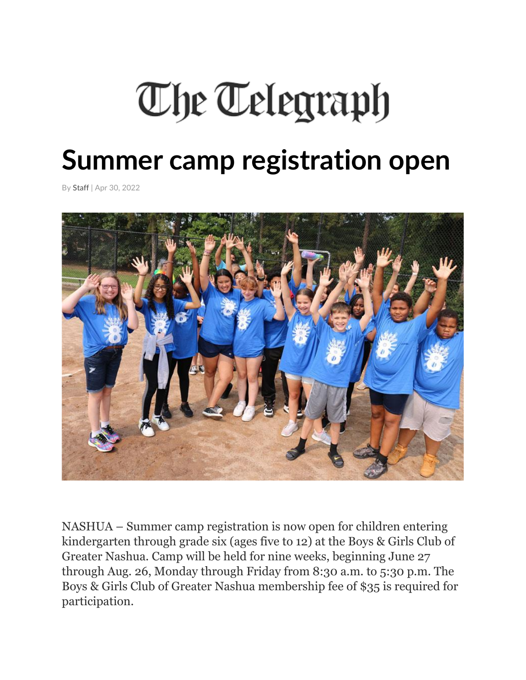## The Telegraph

## **Summer camp registration open**

By Staff | Apr 30, 2022



NASHUA – Summer camp registration is now open for children entering kindergarten through grade six (ages five to 12) at the Boys & Girls Club of Greater Nashua. Camp will be held for nine weeks, beginning June 27 through Aug. 26, Monday through Friday from 8:30 a.m. to 5:30 p.m. The Boys & Girls Club of Greater Nashua membership fee of \$35 is required for participation.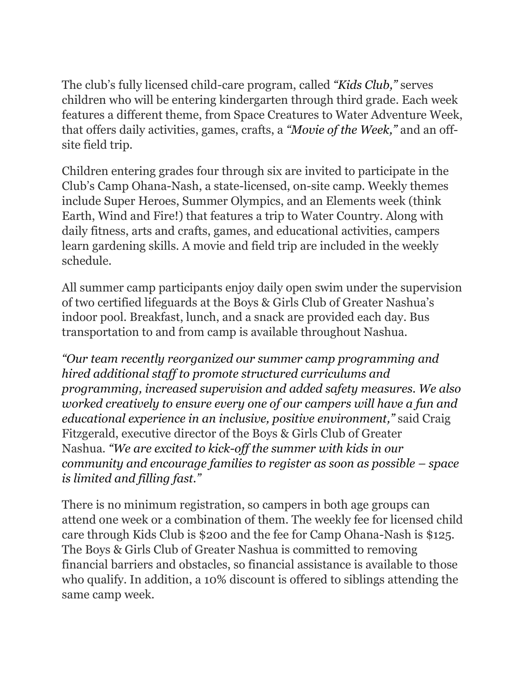The club's fully licensed child-care program, called *"Kids Club,"* serves children who will be entering kindergarten through third grade. Each week features a different theme, from Space Creatures to Water Adventure Week, that offers daily activities, games, crafts, a *"Movie of the Week,"* and an offsite field trip.

Children entering grades four through six are invited to participate in the Club's Camp Ohana-Nash, a state-licensed, on-site camp. Weekly themes include Super Heroes, Summer Olympics, and an Elements week (think Earth, Wind and Fire!) that features a trip to Water Country. Along with daily fitness, arts and crafts, games, and educational activities, campers learn gardening skills. A movie and field trip are included in the weekly schedule.

All summer camp participants enjoy daily open swim under the supervision of two certified lifeguards at the Boys & Girls Club of Greater Nashua's indoor pool. Breakfast, lunch, and a snack are provided each day. Bus transportation to and from camp is available throughout Nashua.

*"Our team recently reorganized our summer camp programming and hired additional staff to promote structured curriculums and programming, increased supervision and added safety measures. We also worked creatively to ensure every one of our campers will have a fun and educational experience in an inclusive, positive environment,"* said Craig Fitzgerald, executive director of the Boys & Girls Club of Greater Nashua. *"We are excited to kick-off the summer with kids in our community and encourage families to register as soon as possible – space is limited and filling fast."*

There is no minimum registration, so campers in both age groups can attend one week or a combination of them. The weekly fee for licensed child care through Kids Club is \$200 and the fee for Camp Ohana-Nash is \$125. The Boys & Girls Club of Greater Nashua is committed to removing financial barriers and obstacles, so financial assistance is available to those who qualify. In addition, a 10% discount is offered to siblings attending the same camp week.